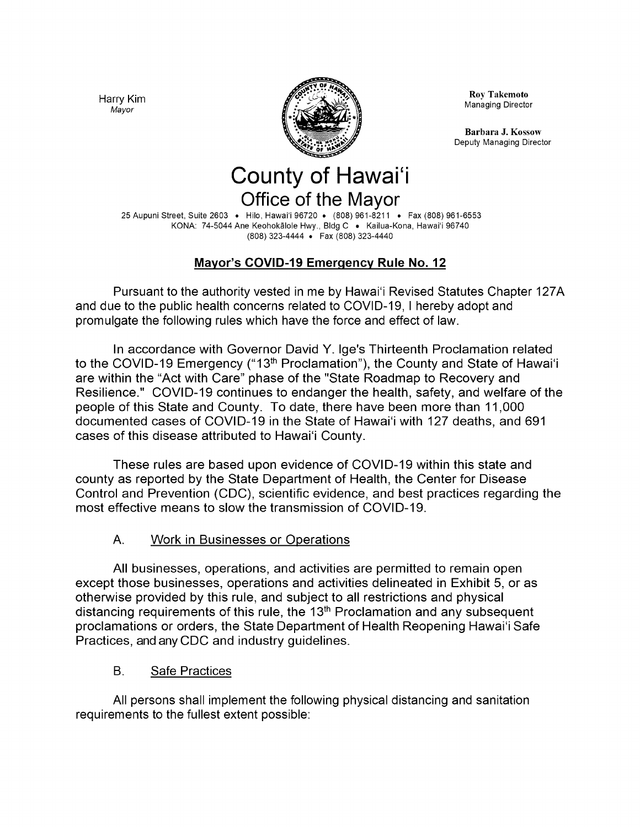Harry Kim Mayor



Roy Takemoto Managing Director

Barbara J. Kossow Deputy Managing Director

# **County of Hawai'i** Office of the Mayor

25 Aupuni Street, Suite 2603 · Hilo, Hawai'i 96720 · (808) 961-8211 · Fax (808) 961-6553 KONA: 74-5044 Ane Keohokalole Hwy., Bldg C · Kailua-Kona, Hawai'i 96740 808) 323-4444 . Fax ( 808) 323-4440

# Mayor's COVID-19 Emergency Rule No. 12

Pursuant to the authority vested in me by Hawai'i Revised Statutes Chapter 127A and due to the public health concerns related to COVID- 19, I hereby adopt and promulgate the following rules which have the force and effect of law.

In accordance with Governor David Y. Ige's Thirteenth Proclamation related to the COVID-19 Emergency ("13<sup>th</sup> Proclamation"), the County and State of Hawai'i are within the "Act with Care" phase of the "State Roadmap to Recovery and Resilience." COVID-19 continues to endanger the health, safety, and welfare of the people of this State and County. To date, there have been more than 11, 000 documented cases of COVID-19 in the State of Hawai'i with 127 deaths, and 691 cases of this disease attributed to Hawai'i County.

These rules are based upon evidence of COVID- 19 within this state and county as reported by the State Department of Health, the Center for Disease Control and Prevention (CDC), scientific evidence, and best practices regarding the most effective means to slow the transmission of COVID-19.

#### A. Work in Businesses or Operations

All businesses, operations, and activities are permitted to remain open except those businesses, operations and activities delineated in Exhibit 5, or as otherwise provided by this rule, and subject to all restrictions and physical distancing requirements of this rule, the  $13<sup>th</sup>$  Proclamation and any subsequent proclamations or orders, the State Department of Health Reopening Hawai'i Safe Practices, and any CDC and industry guidelines.

B. Safe Practices

All persons shall implement the following physical distancing and sanitation requirements to the fullest extent possible: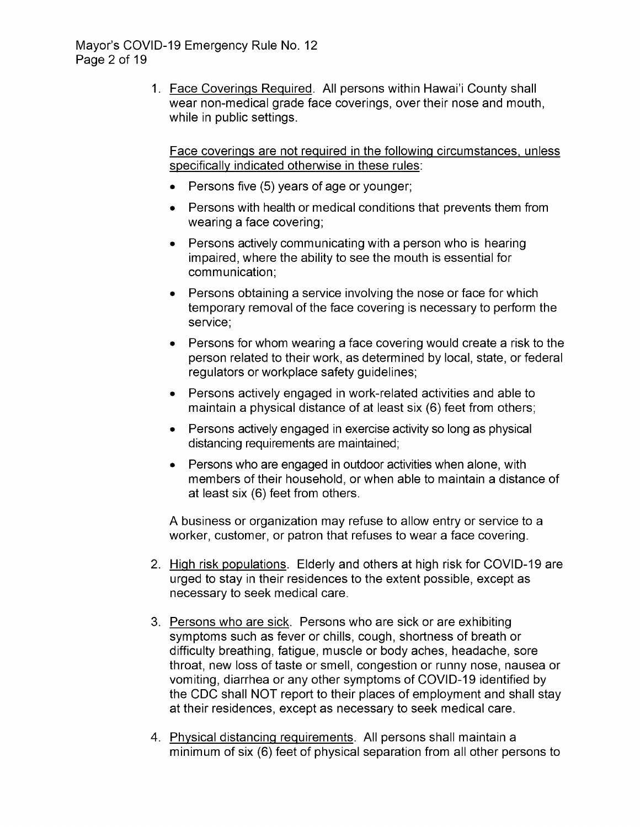1. Face Coverings Required. All persons within Hawai'i County shall wear non-medical grade face coverings, over their nose and mouth, while in public settings.

Face coverings are not required in the following circumstances, unless specifically indicated otherwise in these rules:

- $\bullet$  Persons five (5) years of age or younger;
- Persons with health or medical conditions that prevents them from wearing a face covering;
- Persons actively communicating with a person who is hearing impaired, where the ability to see the mouth is essential for communication;
- Persons obtaining a service involving the nose or face for which temporary removal of the face covering is necessary to perform the service;
- Persons for whom wearing a face covering would create a risk to the person related to their work, as determined by local, state, or federal regulators or workplace safety guidelines;
- Persons actively engaged in work-related activities and able to maintain a physical distance of at least six (6) feet from others;
- Persons actively engaged in exercise activity so long as physical distancing requirements are maintained;
- Persons who are engaged in outdoor activities when alone, with members of their household, or when able to maintain a distance of at least six (6) feet from others.

A business or organization may refuse to allow entry or service to a worker, customer, or patron that refuses to wear a face covering.

- 2. High risk populations. Elderly and others at high risk for COVID-19 are urged to stay in their residences to the extent possible, except as necessary to seek medical care.
- 3. Persons who are sick. Persons who are sick or are exhibiting symptoms such as fever or chills, cough, shortness of breath or difficulty breathing, fatigue, muscle or body aches, headache, sore throat, new loss of taste or smell, congestion or runny nose, nausea or vomiting, diarrhea or any other symptoms of COVID- 19 identified by the CDC shall NOT report to their places of employment and shall stay at their residences, except as necessary to seek medical care.
- 4. Physical distancing requirements. All persons shall maintain a minimum of six (6) feet of physical separation from all other persons to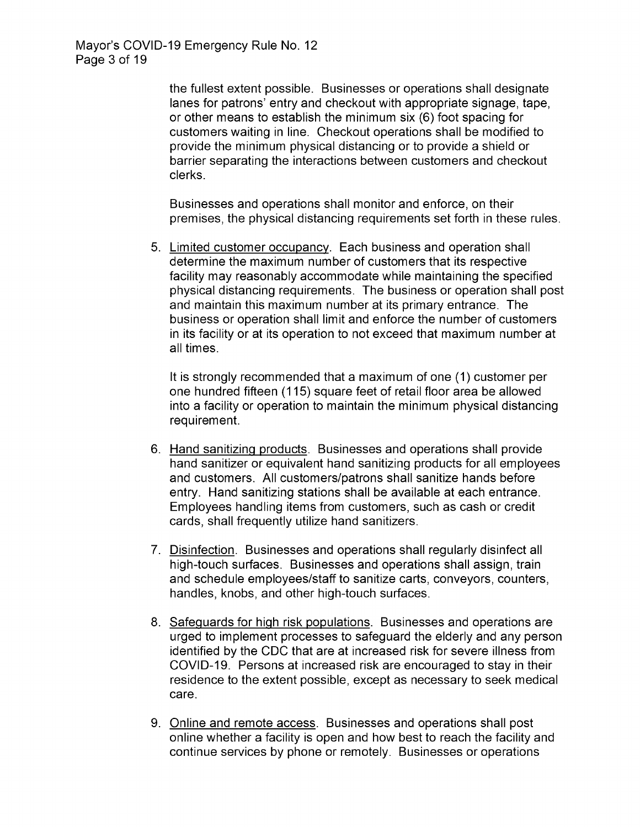the fullest extent possible. Businesses or operations shall designate lanes for patrons' entry and checkout with appropriate signage, tape, or other means to establish the minimum six (6) foot spacing for customers waiting in line. Checkout operations shall be modified to provide the minimum physical distancing or to provide a shield or barrier separating the interactions between customers and checkout clerks.

Businesses and operations shall monitor and enforce, on their premises, the physical distancing requirements set forth in these rules.

5. Limited customer occupancy. Each business and operation shall determine the maximum number of customers that its respective facility may reasonably accommodate while maintaining the specified physical distancing requirements. The business or operation shall post and maintain this maximum number at its primary entrance. The business or operation shall limit and enforce the number of customers in its facility or at its operation to not exceed that maximum number at all times.

It is strongly recommended that a maximum of one (1) customer per one hundred fifteen ( 115) square feet of retail floor area be allowed into a facility or operation to maintain the minimum physical distancing requirement.

- 6. Hand sanitizing products. Businesses and operations shall provide hand sanitizer or equivalent hand sanitizing products for all employees and customers. All customers/patrons shall sanitize hands before entry. Hand sanitizing stations shall be available at each entrance. Employees handling items from customers, such as cash or credit cards, shall frequently utilize hand sanitizers.
- 7. Disinfection. Businesses and operations shall regularly disinfect all high-touch surfaces. Businesses and operations shall assign, train and schedule employees/staff to sanitize carts, conveyors, counters, handles, knobs, and other high-touch surfaces.
- 8. Safeguards for high risk populations. Businesses and operations are urged to implement processes to safeguard the elderly and any person identified by the CDC that are at increased risk for severe illness from COVID-19. Persons at increased risk are encouraged to stay in their residence to the extent possible, except as necessary to seek medical care.
- 9. Online and remote access. Businesses and operations shall post online whether a facility is open and how best to reach the facility and continue services by phone or remotely. Businesses or operations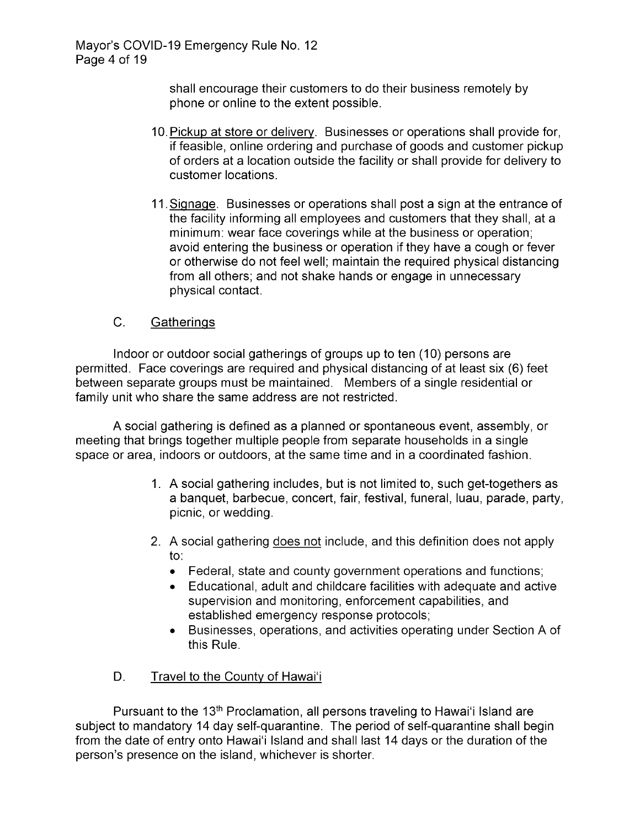shall encourage their customers to do their business remotely by phone or online to the extent possible.

- 10. Pickup at store or delivery. Businesses or operations shall provide for, if feasible, online ordering and purchase of goods and customer pickup of orders at a location outside the facility or shall provide for delivery to customer locations.
- 11. Signage. Businesses or operations shall post a sign at the entrance of the facility informing all employees and customers that they shall, at a minimum: wear face coverings while at the business or operation; avoid entering the business or operation if they have a cough or fever or otherwise do not feel well; maintain the required physical distancing from all others; and not shake hands or engage in unnecessary physical contact.

#### C. Gatherings

Indoor or outdoor social gatherings of groups up to ten ( 10) persons are permitted. Face coverings are required and physical distancing of at least six ( 6) feet between separate groups must be maintained. Members of a single residential or family unit who share the same address are not restricted.

A social gathering is defined as a planned or spontaneous event, assembly, or meeting that brings together multiple people from separate households in a single space or area, indoors or outdoors, at the same time and in a coordinated fashion.

- A social gathering includes, but is not limited to, such get-togethers as a banquet, barbecue, concert, fair, festival, funeral, luau, parade, party, picnic, or wedding.
- 2. A social gathering does not include, and this definition does not apply to:
	- Federal, state and county government operations and functions;
	- Educational, adult and childcare facilities with adequate and active supervision and monitoring, enforcement capabilities, and established emergency response protocols;
	- Businesses, operations, and activities operating under Section A of this Rule.

#### D. Travel to the County of Hawai'i

Pursuant to the 13<sup>th</sup> Proclamation, all persons traveling to Hawai'i Island are subject to mandatory 14 day self-quarantine. The period of self-quarantine shall begin from the date of entry onto Hawai'i Island and shall last 14 days or the duration of the person's presence on the island, whichever is shorter.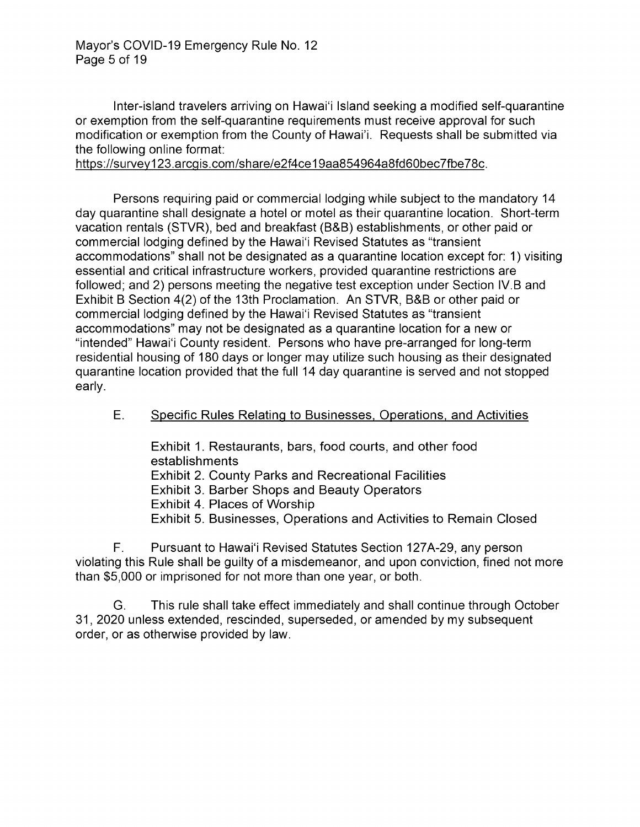Mayor's COVID-19 Emergency Rule No. 12 Page 5 of 19

Inter-island travelers arriving on Hawai'i Island seeking a modified self-quarantine or exemption from the self-quarantine requirements must receive approval for such modification or exemption from the County of Hawai'i. Requests shall be submitted via the following online format:

https://survey123.arcgis.com/share/e2f4ce19aa854964a8fd60bec7fbe78c.

Persons requiring paid or commercial lodging while subject to the mandatory 14 day quarantine shall designate <sup>a</sup> hotel or motel as their quarantine location. Short-term vacation rentals (STVR), bed and breakfast (B&B) establishments, or other paid or commercial lodging defined by the Hawai'i Revised Statutes as "transient accommodations" shall not be designated as a quarantine location except for: 1) visiting essential and critical infrastructure workers, provided quarantine restrictions are followed; and 2) persons meeting the negative test exception under Section IV.B and Exhibit B Section 4(2) of the 13th Proclamation. An STVR, B&B or other paid or commercial lodging defined by the Hawai'i Revised Statutes as "transient" accommodations" may not be designated as a quarantine location for a new or "intended" Hawai'i County resident. Persons who have pre-arranged for long-term residential housing of 180 days or longer may utilize such housing as their designated quarantine location provided that the full 14 day quarantine is served and not stopped early.

#### E. Specific Rules Relating to Businesses, Operations, and Activities

Exhibit 1. Restaurants, bars, food courts, and other food establishments Exhibit 2. County Parks and Recreational Facilities Exhibit 3. Barber Shops and Beauty Operators Exhibit 4. Places of Worship Exhibit 5. Businesses, Operations and Activities to Remain Closed

F. Pursuant to Hawai'i Revised Statutes Section 127A-29, any person violating this Rule shall be guilty of a misdemeanor, and upon conviction, fined not more than \$5,000 or imprisoned for not more than one year, or both.

G. This rule shall take effect immediately and shall continue through October 31, 2020 unless extended, rescinded, superseded, or amended by my subsequent order, or as otherwise provided by law.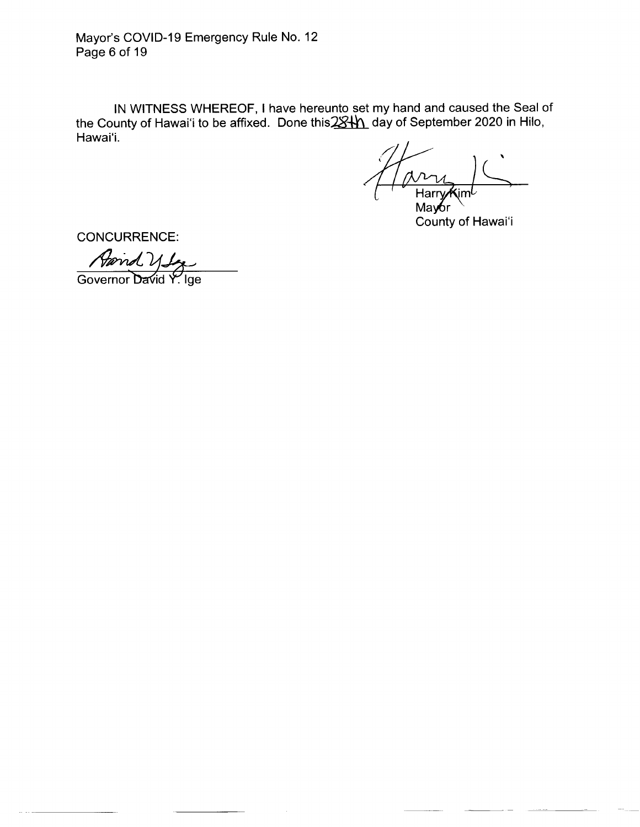Mayor's COVID-19 Emergency Rule No. 12 Page 6 of 19

IN WITNESS WHEREOF, I have hereunto set my hand and caused the Seal of the County of Hawai'i to be affixed. Done this 28th day of September 2020 in Hilo, Hawai'i.

1 avril Harr**y⁄K**im

Mav County of Hawai'i

CONCURRENCE:

April Utz

Governor David Y. Ige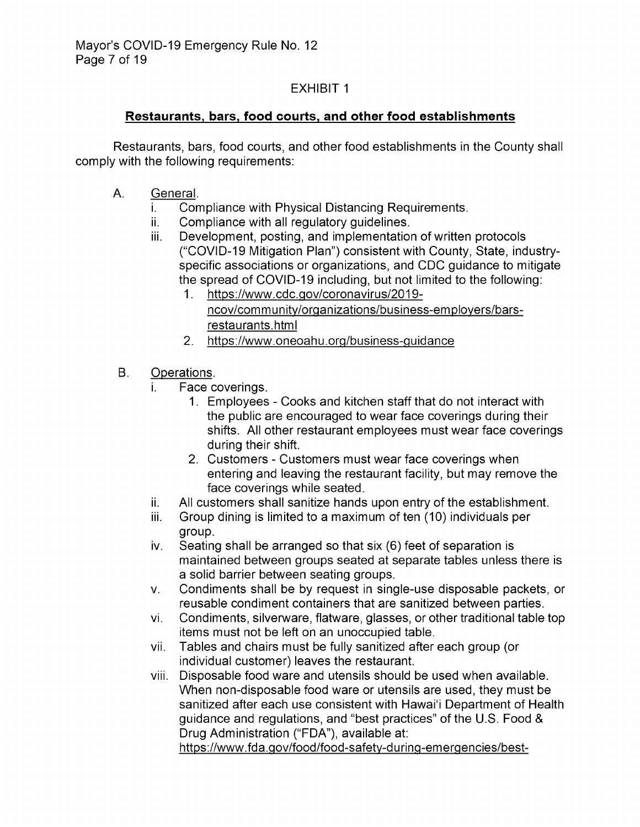#### Restaurants, bars, food courts, and other food establishments

Restaurants, bars, food courts, and other food establishments in the County shall comply with the following requirements:

- A. General.
	- i. Compliance with Physical Distancing Requirements.<br>ii. Compliance with all regulatory quidelines.
	- ii. Compliance with all regulatory guidelines.<br>iii. Development, posting, and implementatio
	- Development, posting, and implementation of written protocols COVID- 19 Mitigation Plan") consistent with County, State, industry specific associations or organizations, and CDC guidance to mitigate the spread of COVID-19 including, but not limited to the following:
		- 1. https://www.cdc.gov/coronavirus/2019 ncov/community/organizations/business-employers/barsrestaurants.html
		- 2. https://www.oneoahu.org/business-guidance
- B. Operations.
	- i. Face coverings.
		- 1. Employees Cooks and kitchen staff that do not interact with the public are encouraged to wear face coverings during their shifts. All other restaurant employees must wear face coverings during their shift.
		- 2. Customers Customers must wear face coverings when entering and leaving the restaurant facility, but may remove the face coverings while seated.
	- ii. All customers shall sanitize hands upon entry of the establishment.<br>iii. Group dining is limited to a maximum of ten (10) individuals per
	- Group dining is limited to a maximum of ten (10) individuals per group.
	- iv. Seating shall be arranged so that six (6) feet of separation is maintained between groups seated at separate tables unless there is a solid barrier between seating groups.
	- V. Condiments shall be by request in single -use disposable packets, or reusable condiment containers that are sanitized between parties.
	- vi. Condiments, silverware, flatware, glasses, or other traditional table top items must not be left on an unoccupied table.
	- vii. Tables and chairs must be fully sanitized after each group (or individual customer) leaves the restaurant.
	- viii. Disposable food ware and utensils should be used when available. When non-disposable food ware or utensils are used, they must be sanitized after each use consistent with Hawai'i Department of Health guidance and regulations, and "best practices" of the U.S. Food & Drug Administration ("FDA"), available at:

https://www.fda.gov/food/food-safety-during-emergencies/best-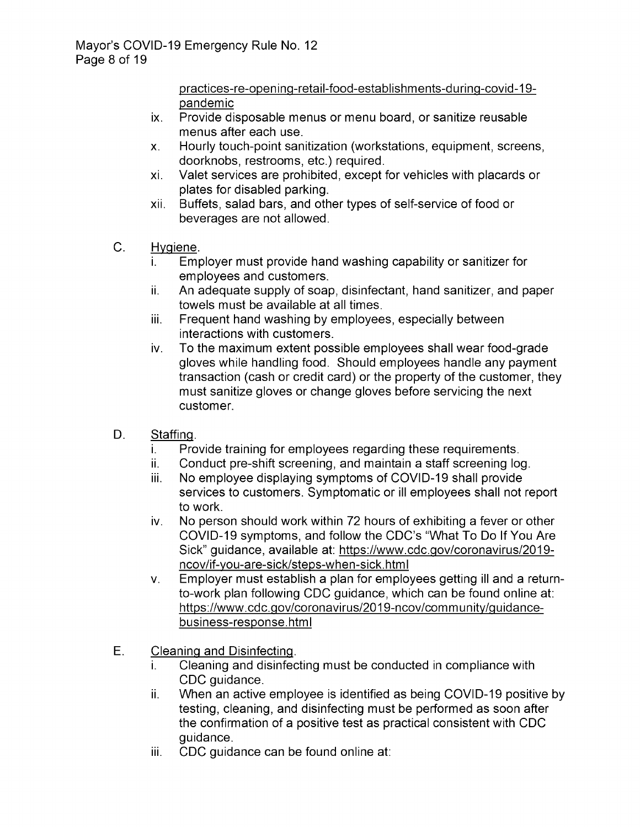practices-re- opening-retail-food- establishments- during-covid- 19 pandemic

- ix. Provide disposable menus or menu board, or sanitize reusable menus after each use.
- X. Hourly touch -point sanitization (workstations, equipment, screens, doorknobs, restrooms, etc.) required.
- xi. Valet services are prohibited, except for vehicles with placards or plates for disabled parking.
- xii. Buffets, salad bars, and other types of self-service of food or beverages are not allowed.
- C. Hygiene
	- i. Employer must provide hand washing capability or sanitizer for employees and customers.
	- ii. An adequate supply of soap, disinfectant, hand sanitizer, and paper towels must be available at all times.
	- iii. Frequent hand washing by employees, especially between interactions with customers.
	- iv. To the maximum extent possible employees shall wear food -grade gloves while handling food. Should employees handle any payment transaction ( cash or credit card) or the property of the customer, they must sanitize gloves or change gloves before servicing the next customer.
- D. Staffing.
	- i. Provide training for employees regarding these requirements.<br>ii. Conduct pre-shift screening, and maintain a staff screening log
	- ii. Conduct pre-shift screening, and maintain a staff screening log.<br>iii. No employee displaying symptoms of COVID-19 shall provide
	- No employee displaying symptoms of COVID-19 shall provide services to customers. Symptomatic or ill employees shall not report to work.
	- iv. No person should work within 72 hours of exhibiting a fever or other COVID-19 symptoms, and follow the CDC's "What To Do If You Are Sick" guidance, available at: https://www.cdc.gov/coronavirus/2019 ncov/if-you-are-sick/steps-when-sick.html
	- v. Employer must establish a plan for employees getting ill and a returnto-work plan following CDC guidance, which can be found online at: https://www.cdc.gov/coronavirus/2019-ncov/community/guidancebusiness-response. html
- E. Cleaning and Disinfecting.
	- i. Cleaning and disinfecting must be conducted in compliance with CDC guidance.
	- ii. When an active employee is identified as being COVID- 19 positive by testing, cleaning, and disinfecting must be performed as soon after the confirmation of a positive test as practical consistent with CDC guidance.
	- iii. CDC guidance can be found online at: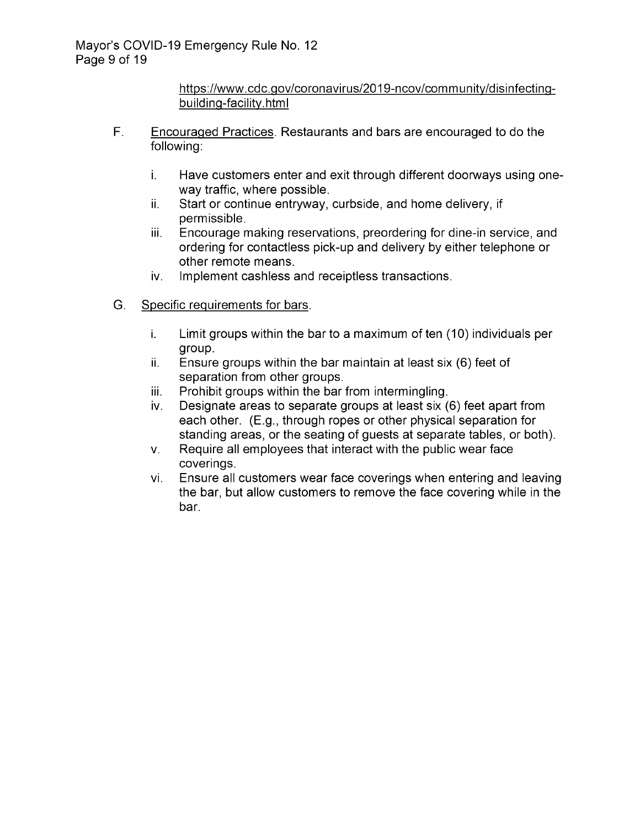https://www.cdc.gov/coronavirus/2019-ncov/community/disinfectingbuilding-facility.html

- F. Encouraged Practices. Restaurants and bars are encouraged to do the following:
	- i. Have customers enter and exit through different doorways using oneway traffic, where possible.
	- ii. Start or continue entryway, curbside, and home delivery, if permissible.
	- iii. Encourage making reservations, preordering for dine -in service, and ordering for contactless pick-up and delivery by either telephone or other remote means.
	- iv. Implement cashless and receiptless transactions.
- G. Specific requirements for bars.
	- i. Limit groups within the bar to a maximum of ten ( 10) individuals per group.
	- $ii.$  Ensure groups within the bar maintain at least six (6) feet of separation from other groups.
	- iii. Prohibit groups within the bar from intermingling.<br>iv. Designate areas to separate groups at least six (
	- Designate areas to separate groups at least six (6) feet apart from each other. (E.g., through ropes or other physical separation for standing areas, or the seating of guests at separate tables, or both).
	- V. Require all employees that interact with the public wear face coverings.
	- vi. Ensure all customers wear face coverings when entering and leaving the bar, but allow customers to remove the face covering while in the bar.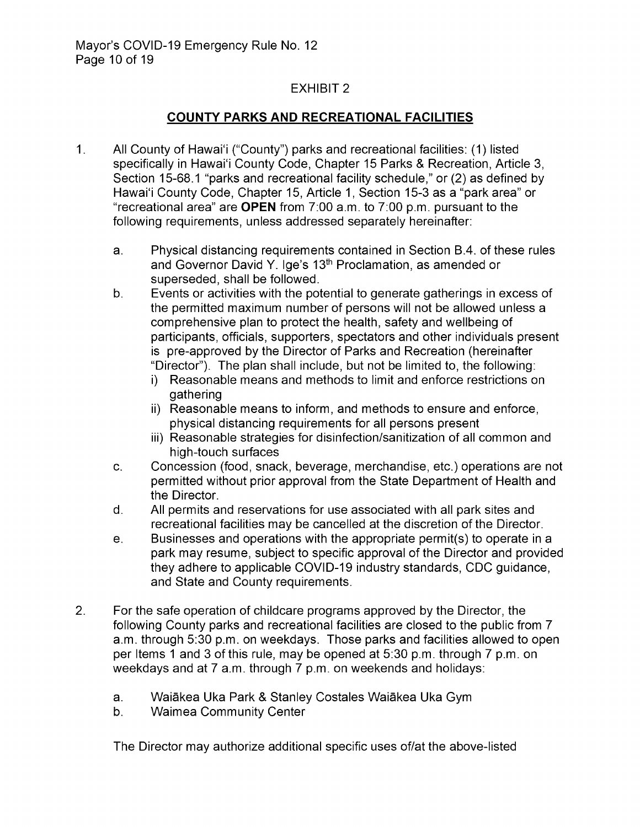#### COUNTY PARKS AND RECREATIONAL FACILITIES

- $1.$ All County of Hawai'i ("County") parks and recreational facilities: (1) listed specifically in Hawai'i County Code, Chapter 15 Parks & Recreation, Article 3, Section 15-68.1 "parks and recreational facility schedule," or (2) as defined by Hawai'i County Code, Chapter 15, Article 1, Section 15-3 as a "park area" or "recreational area" are OPEN from  $7:00$  a.m. to  $7:00$  p.m. pursuant to the following requirements, unless addressed separately hereinafter:
	- a. Physical distancing requirements contained in Section B. 4. of these rules and Governor David Y. Ige's 13<sup>th</sup> Proclamation, as amended or superseded, shall be followed.
	- b. Events or activities with the potential to generate gatherings in excess of the permitted maximum number of persons will not be allowed unless a comprehensive plan to protect the health, safety and wellbeing of participants, officials, supporters, spectators and other individuals present is pre -approved by the Director of Parks and Recreation ( hereinafter Director"). The plan shall include, but not be limited to, the following:
		- i) Reasonable means and methods to limit and enforce restrictions on gathering
		- ii) Reasonable means to inform, and methods to ensure and enforce, physical distancing requirements for all persons present
		- iii) Reasonable strategies for disinfection/sanitization of all common and high-touch surfaces
	- C. Concession (food, snack, beverage, merchandise, etc.) operations are not permitted without prior approval from the State Department of Health and the Director.
	- d. All permits and reservations for use associated with all park sites and recreational facilities may be cancelled at the discretion of the Director.
	- e. Businesses and operations with the appropriate permit( s) to operate in a park may resume, subject to specific approval of the Director and provided they adhere to applicable COVID-19 industry standards, CDC guidance, and State and County requirements.
- 2. For the safe operation of childcare programs approved by the Director, the following County parks and recreational facilities are closed to the public from 7 a.m. through 5:30 p.m. on weekdays. Those parks and facilities allowed to open per Items 1 and 3 of this rule, may be opened at 5:30 p.m. through 7 p.m. on weekdays and at 7 a.m. through 7 p.m. on weekends and holidays:
	- a. Waiākea Uka Park & Stanley Costales Waiākea Uka Gym<br>b. Waimea Community Center
	- **Waimea Community Center**

The Director may authorize additional specific uses of/at the above -listed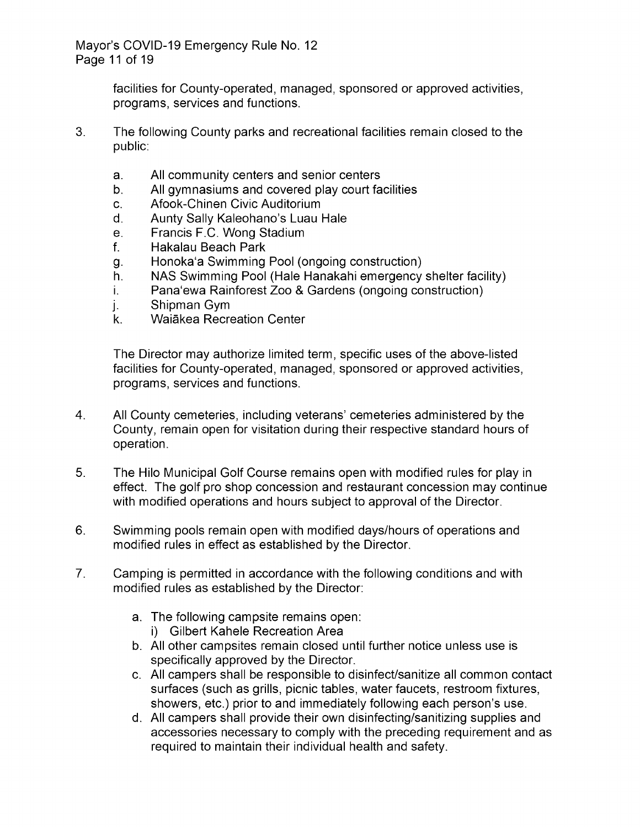facilities for County-operated, managed, sponsored or approved activities, programs, services and functions.

- 3. The following County parks and recreational facilities remain closed to the public:
	- a. All community centers and senior centers<br>b. All gymnasiums and covered play court fa
	- b. All gymnasiums and covered play court facilities<br>c. Afook-Chinen Civic Auditorium
	- Afook-Chinen Civic Auditorium
	- d. Aunty Sally Kaleohano's Luau Hale<br>e. Francis F.C. Wong Stadium
	- e. Francis F.C. Wong Stadium<br>f. Hakalau Beach Park
	- f. Hakalau Beach Park
	- g. Honoka'a Swimming Pool (ongoing construction)<br>h. NAS Swimming Pool (Hale Hanakahi emergency
	- h. NAS Swimming Pool (Hale Hanakahi emergency shelter facility)<br>i. Pana'ewa Rainforest Zoo & Gardens (ongoing construction)
	- i. Pana'ewa Rainforest Zoo & Gardens (ongoing construction)<br>j. Shipman Gym
	- j. Shipman Gym<br>k. Waiākea Recr
	- Waiākea Recreation Center

The Director may authorize limited term, specific uses of the above -listed facilities for County-operated, managed, sponsored or approved activities, programs, services and functions.

- 4. All County cemeteries, including veterans' cemeteries administered by the County, remain open for visitation during their respective standard hours of operation.
- 5. The Hilo Municipal Golf Course remains open with modified rules for play in effect. The golf pro shop concession and restaurant concession may continue with modified operations and hours subject to approval of the Director.
- 6. Swimming pools remain open with modified days/hours of operations and modified rules in effect as established by the Director.
- 7. Camping is permitted in accordance with the following conditions and with modified rules as established by the Director:
	- a. The following campsite remains open:
		- i) Gilbert Kahele Recreation Area
	- b. All other campsites remain closed until further notice unless use is specifically approved by the Director.
	- c. All campers shall be responsible to disinfect/sanitize all common contact surfaces ( such as grills, picnic tables, water faucets, restroom fixtures, showers, etc.) prior to and immediately following each person's use.
	- d. All campers shall provide their own disinfecting/sanitizing supplies and accessories necessary to comply with the preceding requirement and as required to maintain their individual health and safety.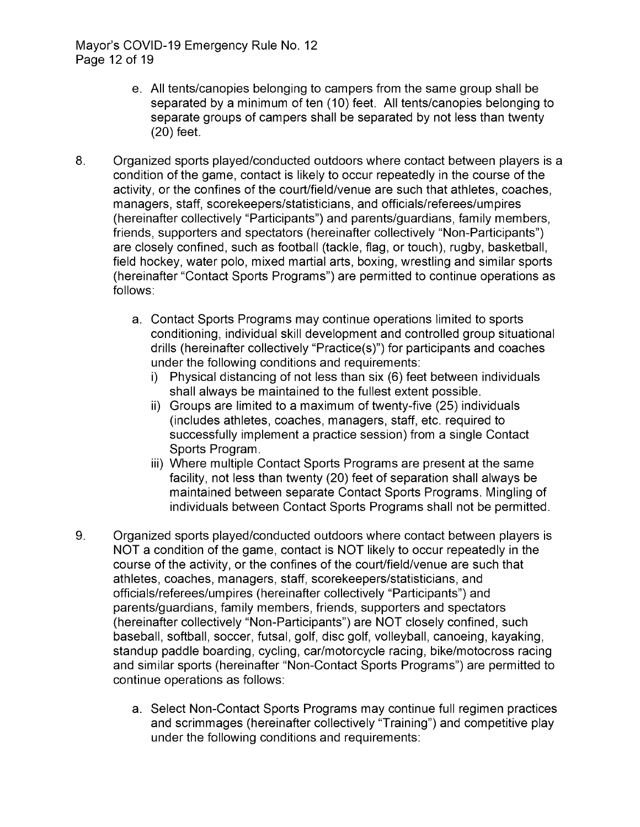- e. All tents/canopies belonging to campers from the same group shall be separated by a minimum of ten (10) feet. All tents/ canopies belonging to separate groups of campers shall be separated by not less than twenty 20) feet.
- 8. Organized sports played/conducted outdoors where contact between players is a condition of the game, contact is likely to occur repeatedly in the course of the activity, or the confines of the court/field/venue are such that athletes, coaches, managers, staff, scorekeepers/statisticians, and officials/referees/umpires (hereinafter collectively "Participants") and parents/ guardians, family members, friends, supporters and spectators ( hereinafter collectively "Non -Participants") are closely confined, such as football (tackle, flag, or touch), rugby, basketball, field hockey, water polo, mixed martial arts, boxing, wrestling and similar sports hereinafter "Contact Sports Programs") are permitted to continue operations as follows:
	- a. Contact Sports Programs may continue operations limited to sports conditioning, individual skill development and controlled group situational drills (hereinafter collectively "Practice(s)") for participants and coaches under the following conditions and requirements:
		- i) Physical distancing of not less than six (6) feet between individuals shall always be maintained to the fullest extent possible.
		- ii) Groups are limited to a maximum of twenty-five (25) individuals includes athletes, coaches, managers, staff, etc. required to successfully implement a practice session) from a single Contact Sports Program.
		- iii) Where multiple Contact Sports Programs are present at the same facility, not less than twenty (20) feet of separation shall always be maintained between separate Contact Sports Programs. Mingling of individuals between Contact Sports Programs shall not be permitted.
- 9. Organized sports played/conducted outdoors where contact between players is NOT a condition of the game, contact is NOT likely to occur repeatedly in the course of the activity, or the confines of the court/field/ venue are such that athletes, coaches, managers, staff, scorekeepers/statisticians, and officials/referees/umpires (hereinafter collectively "Participants") and parents/guardians, family members, friends, supporters and spectators hereinafter collectively "Non -Participants") are NOT closely confined, such baseball, softball, soccer, futsal, golf, disc golf, volleyball, canoeing, kayaking, standup paddle boarding, cycling, car/motorcycle racing, bike/motocross racing and similar sports (hereinafter "Non -Contact Sports Programs") are permitted to continue operations as follows:
	- a. Select Non -Contact Sports Programs may continue full regimen practices and scrimmages (hereinafter collectively "Training") and competitive play under the following conditions and requirements: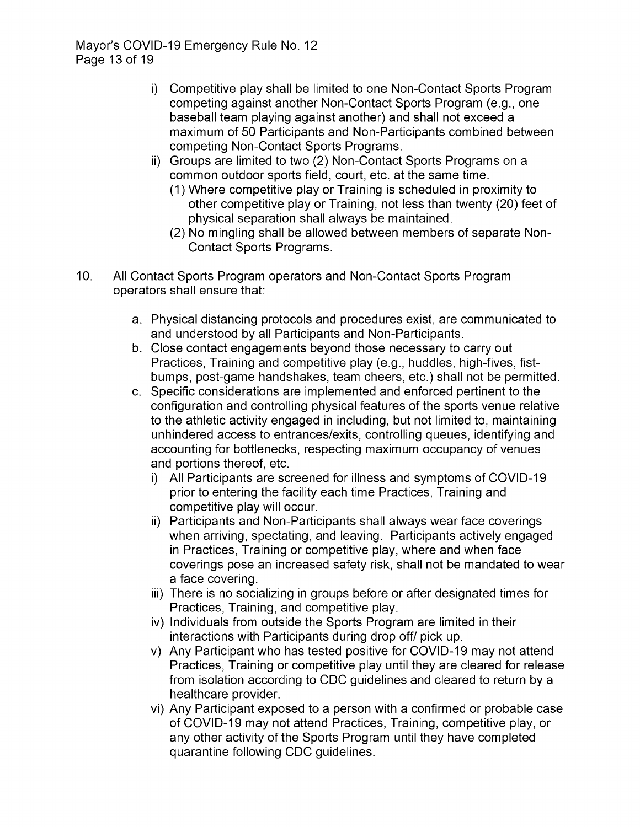- i) Competitive play shall be limited to one Non -Contact Sports Program competing against another Non-Contact Sports Program (e.g., one baseball team playing against another) and shall not exceed a maximum of 50 Participants and Non -Participants combined between competing Non -Contact Sports Programs.
- ii) Groups are limited to two (2) Non-Contact Sports Programs on a common outdoor sports field, court, etc. at the same time.
	- 1) Where competitive play or Training is scheduled in proximity to other competitive play or Training, not less than twenty (20) feet of physical separation shall always be maintained.
	- 2) No mingling shall be allowed between members of separate Non Contact Sports Programs.
- 10. All Contact Sports Program operators and Non -Contact Sports Program operators shall ensure that:
	- a. Physical distancing protocols and procedures exist, are communicated to and understood by all Participants and Non -Participants.
	- b. Close contact engagements beyond those necessary to carry out Practices, Training and competitive play (e.g., huddles, high-fives, fistbumps, post-game handshakes, team cheers, etc.) shall not be permitted.
	- c. Specific considerations are implemented and enforced pertinent to the configuration and controlling physical features of the sports venue relative to the athletic activity engaged in including, but not limited to, maintaining unhindered access to entrances/exits, controlling queues, identifying and accounting for bottlenecks, respecting maximum occupancy of venues and portions thereof, etc.
		- i) All Participants are screened for illness and symptoms of COVID-19 prior to entering the facility each time Practices, Training and competitive play will occur.
		- ii) Participants and Non-Participants shall always wear face coverings when arriving, spectating, and leaving. Participants actively engaged in Practices, Training or competitive play, where and when face coverings pose an increased safety risk, shall not be mandated to wear a face covering.
		- iii) There is no socializing in groups before or after designated times for Practices, Training, and competitive play.
		- iv) Individuals from outside the Sports Program are limited in their interactions with Participants during drop off/ pick up.
		- v) Any Participant who has tested positive for COVID- 19 may not attend Practices, Training or competitive play until they are cleared for release from isolation according to CDC guidelines and cleared to return by a healthcare provider.
		- vi) Any Participant exposed to a person with a confirmed or probable case of COVID- 19 may not attend Practices, Training, competitive play, or any other activity of the Sports Program until they have completed quarantine following CDC guidelines.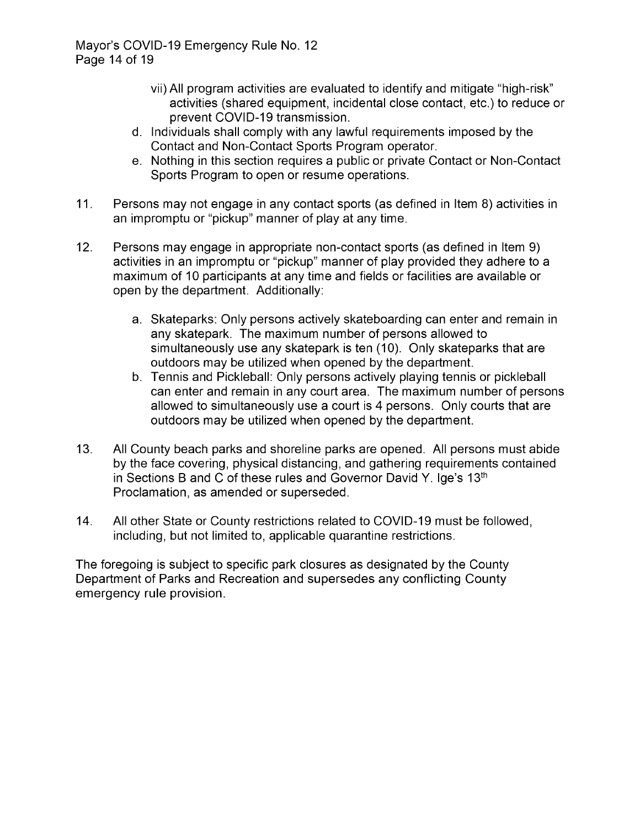Mayor's COVID-19 Emergency Rule No. 12 Page 14 of 19

- vii) All program activities are evaluated to identify and mitigate " high- risk" activities (shared equipment, incidental close contact, etc.) to reduce or prevent COVID-19 transmission.
- d. Individuals shall comply with any lawful requirements imposed by the Contact and Non -Contact Sports Program operator.
- e. Nothing in this section requires a public or private Contact or Non -Contact Sports Program to open or resume operations.
- 11. Persons may not engage in any contact sports ( as defined in Item 8) activities in an impromptu or "pickup" manner of play at any time.
- 12. Persons may engage in appropriate non -contact sports (as defined in Item 9) activities in an impromptu or "pickup" manner of play provided they adhere to a maximum of 10 participants at any time and fields or facilities are available or open by the department. Additionally:
	- a. Skateparks: Only persons actively skateboarding can enter and remain in any skatepark. The maximum number of persons allowed to simultaneously use any skatepark is ten ( 10). Only skateparks that are outdoors may be utilized when opened by the department.
	- b. Tennis and Pickleball: Only persons actively playing tennis or pickleball can enter and remain in any court area. The maximum number of persons allowed to simultaneously use a court is 4 persons. Only courts that are outdoors may be utilized when opened by the department.
- 13. All County beach parks and shoreline parks are opened. All persons must abide by the face covering, physical distancing, and gathering requirements contained in Sections B and C of these rules and Governor David Y. Ige's  $13<sup>th</sup>$ Proclamation, as amended or superseded.
- 14. All other State or County restrictions related to COVID- 19 must be followed, including, but not limited to, applicable quarantine restrictions.

The foregoing is subject to specific park closures as designated by the County Department of Parks and Recreation and supersedes any conflicting County emergency rule provision.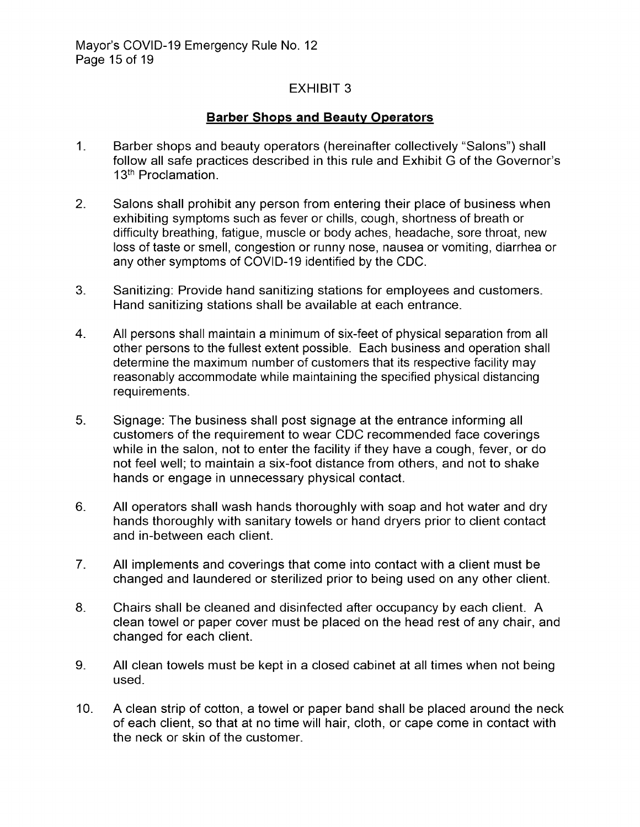#### Barber Shops and Beauty Operators

- $1<sub>1</sub>$ Barber shops and beauty operators (hereinafter collectively "Salons") shall follow all safe practices described in this rule and Exhibit G of the Governor's 13<sup>th</sup> Proclamation.
- 2. Salons shall prohibit any person from entering their place of business when exhibiting symptoms such as fever or chills, cough, shortness of breath or difficulty breathing, fatigue, muscle or body aches, headache, sore throat, new loss of taste or smell, congestion or runny nose, nausea or vomiting, diarrhea or any other symptoms of COVID-19 identified by the CDC.
- 3. Sanitizing: Provide hand sanitizing stations for employees and customers. Hand sanitizing stations shall be available at each entrance.
- 4. All persons shall maintain a minimum of six -feet of physical separation from all other persons to the fullest extent possible. Each business and operation shall determine the maximum number of customers that its respective facility may reasonably accommodate while maintaining the specified physical distancing requirements.
- 5. Signage: The business shall post signage at the entrance informing all customers of the requirement to wear CDC recommended face coverings while in the salon, not to enter the facility if they have a cough, fever, or do not feel well; to maintain a six-foot distance from others, and not to shake hands or engage in unnecessary physical contact.
- 6. All operators shall wash hands thoroughly with soap and hot water and dry hands thoroughly with sanitary towels or hand dryers prior to client contact and in-between each client.
- 7. All implements and coverings that come into contact with a client must be changed and laundered or sterilized prior to being used on any other client.
- 8. Chairs shall be cleaned and disinfected after occupancy by each client. A clean towel or paper cover must be placed on the head rest of any chair, and changed for each client.
- 9. All clean towels must be kept in a closed cabinet at all times when not being used.
- 10. A clean strip of cotton, a towel or paper band shall be placed around the neck of each client, so that at no time will hair, cloth, or cape come in contact with the neck or skin of the customer.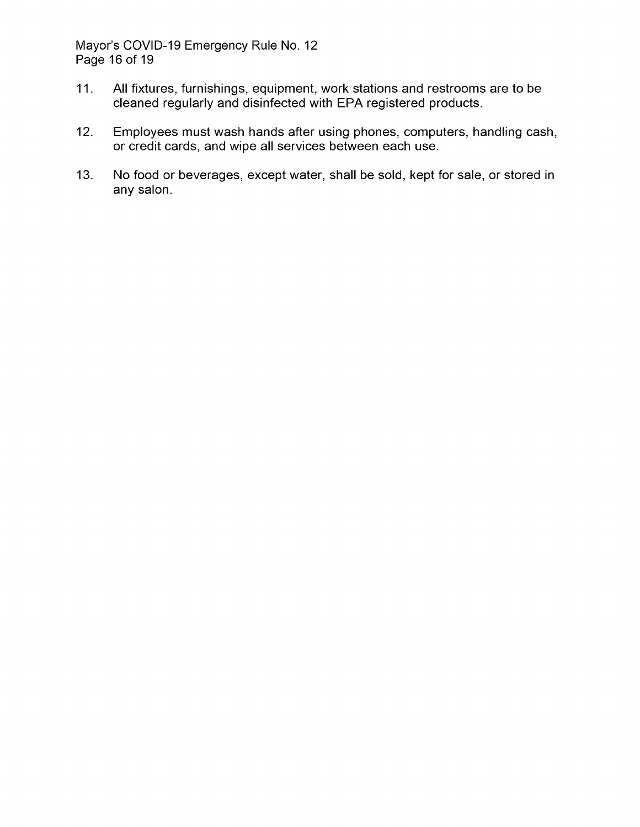Mayor's COVID-19 Emergency Rule No. 12 Page 16 of 19

- 11. All fixtures, furnishings, equipment, work stations and restrooms are to be cleaned regularly and disinfected with EPA registered products.
- 12. Employees must wash hands after using phones, computers, handling cash, or credit cards, and wipe all services between each use.
- 13. No food or beverages, except water, shall be sold, kept for sale, or stored in any salon.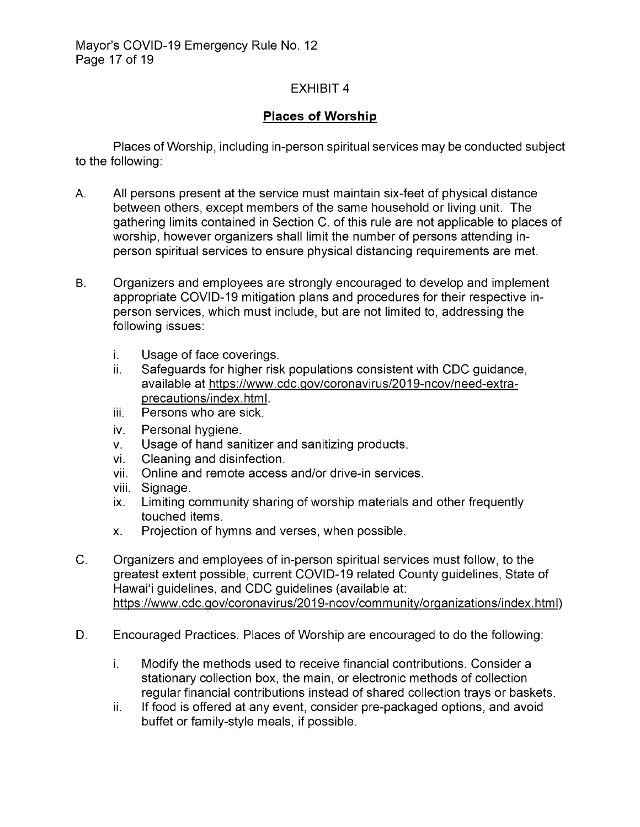# Places of Worship

Places of Worship, including in- person spiritual services may be conducted subject to the following:

- A. All persons present at the service must maintain six -feet of physical distance between others, except members of the same household or living unit. The gathering limits contained in Section C. of this rule are not applicable to places of worship, however organizers shall limit the number of persons attending inperson spiritual services to ensure physical distancing requirements are met.
- B. Organizers and employees are strongly encouraged to develop and implement appropriate COVID- 19 mitigation plans and procedures for their respective inperson services, which must include, but are not limited to, addressing the following issues:
	- i. Usage of face coverings.
	- ii. Safeguards for higher risk populations consistent with CDC guidance, available at https://www.cdc.gov/coronavirus/2019-ncov/need-extraprecautions/index.html.
	- iii. Persons who are sick.
	- iv. Personal hygiene.
	- v. Usage of hand sanitizer and sanitizing products.<br>vi. Cleaning and disinfection.
	- vi. Cleaning and disinfection.<br>vii. Online and remote access
	- Online and remote access and/or drive-in services.
	- viii. Signage.
	- ix. Limiting community sharing of worship materials and other frequently touched items.
	- X. Projection of hymns and verses, when possible.
- C. Organizers and employees of in- person spiritual services must follow, to the greatest extent possible, current COVID- 19 related County guidelines, State of Hawai'i guidelines, and CDC guidelines (available at: https://www.cdc.gov/coronavirus/2019-ncov/community/organizations/index.html)
- D. Encouraged Practices. Places of Worship are encouraged to do the following:
	- i. Modify the methods used to receive financial contributions. Consider a stationary collection box, the main, or electronic methods of collection regular financial contributions instead of shared collection trays or baskets.
	- ii. If food is offered at any event, consider pre- packaged options, and avoid buffet or family -style meals, if possible.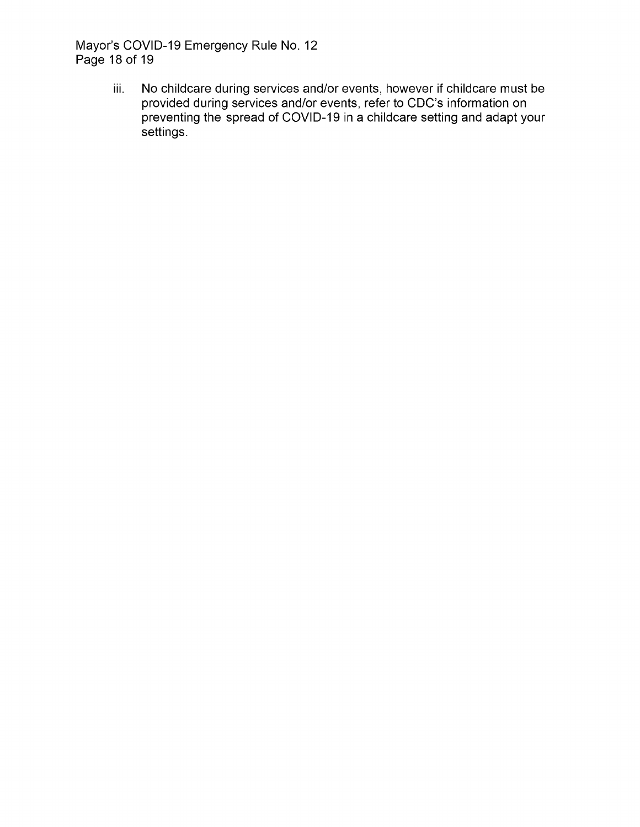Mayor's COVID-19 Emergency Rule No. 12 Page 18 of 19

> iii. No childcare during services and/or events, however if childcare must be provided during services and/or events, refer to CDC's information on preventing the spread of COVID- 19 in a childcare setting and adapt your settings.